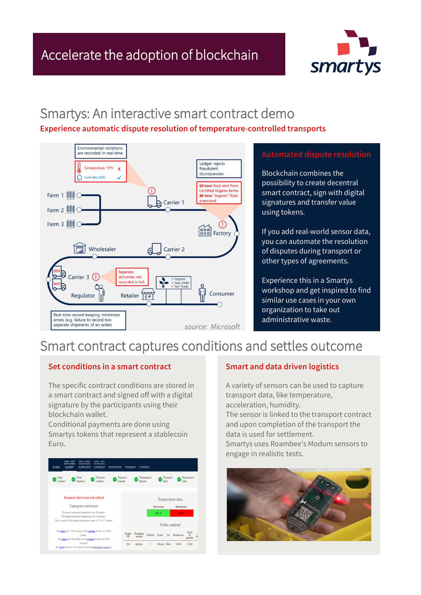

### Smartys: An interactive smart contract demo

#### **Experience automatic dispute resolution of temperature-controlled transports**



Blockchain combines the possibility to create decentral smart contract, sign with digital signatures and transfer value using tokens.

If you add real-world sensor data, you can automate the resolution of disputes during transport or other types of agreements.

Experience this in a Smartys workshop and get inspired to find similar use cases in your own organization to take out administrative waste.

### Smart contract captures conditions and settles outcome

#### **Set conditions in a smart contract**

The specific contract conditions are stored in a smart contract and signed off with a digital signature by the participants using their blockchain wallet.

Conditional payments are done using Smartys tokens that represent a stablecoin Euro.



### **Smart and data driven logistics**

A variety of sensors can be used to capture transport data, like temperature, acceleration, humidity.

The sensor is linked to the transport contract and upon completion of the transport the data is used for settlement.

Smartys uses Roambee's Modum sensors to engage in realistic tests.

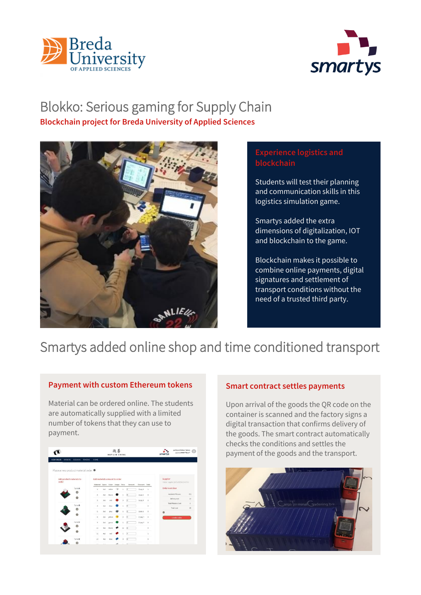



# Blokko: Serious gaming for Supply Chain

**Blockchain project for Breda University of Applied Sciences**



### **Experience logistics and blockchain**

Students will test their planning and communication skills in this logistics simulation game.

Smartys added the extra dimensions of digitalization, IOT and blockchain to the game.

Blockchain makes it possible to combine online payments, digital signatures and settlement of transport conditions without the need of a trusted third party.

## Smartys added online shop and time conditioned transport

#### **Payment with custom Ethereum tokens**

Material can be ordered online. The students are automatically supplied with a limited number of tokens that they can use to payment.



#### **Smart contract settles payments**

Upon arrival of the goods the QR code on the container is scanned and the factory signs a digital transaction that confirms delivery of the goods. The smart contract automatically checks the conditions and settles the payment of the goods and the transport.

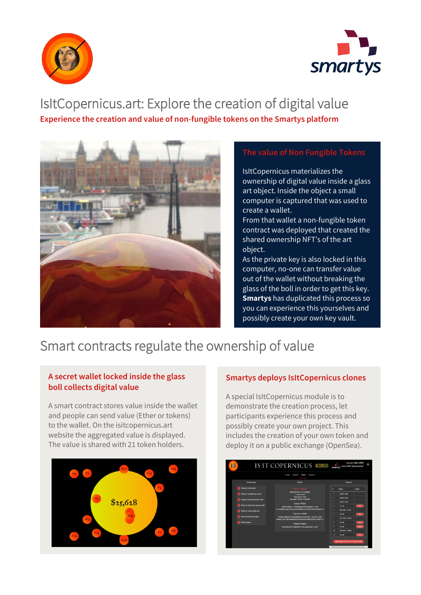



# IsItCopernicus.art: Explore the creation of digital value

**Experience the creation and value of non-fungible tokens on the Smartys platform**



#### **The value of Non Fungible Tokens**

IsItCopernicus materializes the ownership of digital value inside a glass art object. Inside the object a small computer is captured that was used to create a wallet.

From that wallet a non-fungible token contract was deployed that created the shared ownership NFT's of the art object.

As the private key is also locked in this computer, no-one can transfer value out of the wallet without breaking the glass of the boll in order to get this key. **Smartys** has duplicated this process so you can experience this yourselves and possibly create your own key vault.

## Smart contracts regulate the ownership of value

### **A secret wallet locked inside the glass boll collects digital value**

A smart contract stores value inside the wallet and people can send value (Ether or tokens) to the wallet. On the isitcopernicus.art website the aggregated value is displayed. The value is shared with 21 token holders.



### **Smartys deploys IsItCopernicus clones**

A special IsItCopernicus module is to demonstrate the creation process, let participants experience this process and possibly create your own project. This includes the creation of your own token and deploy it on a public exchange (OpenSea).

|                                                                                                                                                                           | <b>TRAINER</b><br><b>TROMAS</b><br>TOOSTAT<br>TOKEN                                                                                 |          |                        |               |
|---------------------------------------------------------------------------------------------------------------------------------------------------------------------------|-------------------------------------------------------------------------------------------------------------------------------------|----------|------------------------|---------------|
| Rollout step                                                                                                                                                              | Details                                                                                                                             | Contract |                        |               |
| <b>Waiting for tolers settings</b>                                                                                                                                        | Hollow complete.                                                                                                                    |          | Owner                  | <b>Action</b> |
| Weiting for compiled sount contract<br>Waiting for funds in the initiative wallet.<br>Waiting for funds in the coperaints wallet<br><b>Whites for contract deployment</b> | DEMO 2021011 215114 IRVONS<br>51 tollines recient                                                                                   | ٠        | <b>Seturne walker</b>  |               |
|                                                                                                                                                                           | Takes mins 0.1 Ether<br>Last spilets 5/11/3021, 9:59:54 PM                                                                          | ×        | <b>Initiate wallet</b> |               |
|                                                                                                                                                                           | <b>Initiates Wallet</b>                                                                                                             | 3        | between wallet         |               |
|                                                                                                                                                                           | 0x990F4FRRaA117256EEEDBach700E34360DFE9 - 0 ETH                                                                                     | ٠        | Formie                 | <b>Chang</b>  |
|                                                                                                                                                                           | Dr.75/Ma0066436-day-78-dibay:s1847/200908516340465656515100254669405161<br><b>Conemicus Waller</b>                                  | ×        | distributed matter.    |               |
| Create sell ceders for all tokens                                                                                                                                         |                                                                                                                                     | a.       | For sale               | <b>hay</b>    |
|                                                                                                                                                                           | (NOWACUTERDISCN/UNSK/FSURNDLIVES/ARCHETER), 0.045495774 RTH<br>0x5ava3c13a64533107ba96a65431230a0m1076&@3a44f16c33902219c9b00 [ 3 ] | ٠        | 0035326. 47648         |               |
| <b>Lakeut</b> coopiete                                                                                                                                                    | Compet Address                                                                                                                      | п        | <b>Sociale</b>         | log           |
|                                                                                                                                                                           | 0x8E0DAP053852249800900475979bA1068004342-03ETH                                                                                     | ٠        | <b>Swede</b>           | A boy.        |
|                                                                                                                                                                           |                                                                                                                                     | $\sim$   | <b>IMMARY 78086</b>    |               |
|                                                                                                                                                                           |                                                                                                                                     | n        | For sale               | boy.          |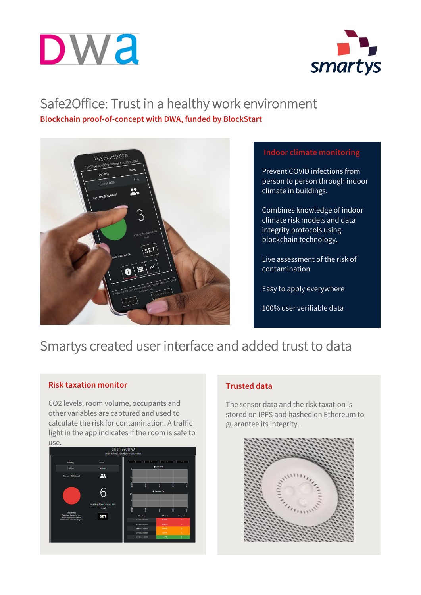



### Safe2Office: Trust in a healthy work environment **Blockchain proof-of-concept with DWA, funded by BlockStart**



Prevent COVID infections from person to person through indoor climate in buildings.

Combines knowledge of indoor climate risk models and data integrity protocols using blockchain technology.

Live assessment of the risk of contamination

Easy to apply everywhere

100% user verifiable data

### Smartys created user interface and added trust to data

#### **Risk taxation monitor**

CO2 levels, room volume, occupants and other variables are captured and used to calculate the risk for contamination. A traffic light in the app indicates if the room is safe to use.



### **Trusted data**

The sensor data and the risk taxation is stored on IPFS and hashed on Ethereum to guarantee its integrity.